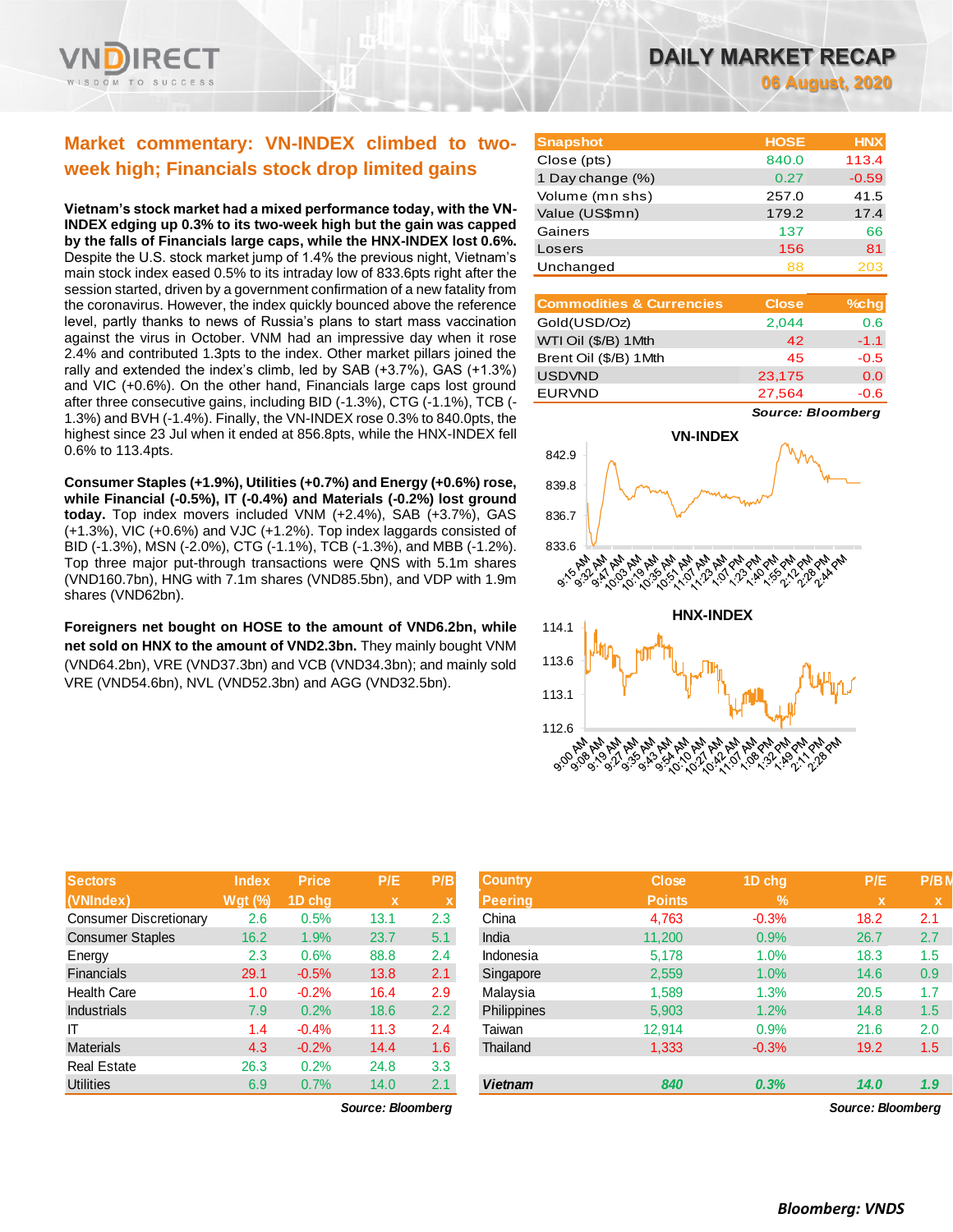

# **Market commentary: VN-INDEX climbed to twoweek high; Financials stock drop limited gains**

**Vietnam's stock market had a mixed performance today, with the VN-INDEX edging up 0.3% to its two-week high but the gain was capped by the falls of Financials large caps, while the HNX-INDEX lost 0.6%.**  Despite the U.S. stock market jump of 1.4% the previous night, Vietnam's main stock index eased 0.5% to its intraday low of 833.6pts right after the session started, driven by a government confirmation of a new fatality from the coronavirus. However, the index quickly bounced above the reference level, partly thanks to news of Russia's plans to start mass vaccination against the virus in October. VNM had an impressive day when it rose 2.4% and contributed 1.3pts to the index. Other market pillars joined the rally and extended the index's climb, led by SAB (+3.7%), GAS (+1.3%) and VIC (+0.6%). On the other hand, Financials large caps lost ground after three consecutive gains, including BID (-1.3%), CTG (-1.1%), TCB (- 1.3%) and BVH (-1.4%). Finally, the VN-INDEX rose 0.3% to 840.0pts, the highest since 23 Jul when it ended at 856.8pts, while the HNX-INDEX fell 0.6% to 113.4pts.

**Consumer Staples (+1.9%), Utilities (+0.7%) and Energy (+0.6%) rose, while Financial (-0.5%), IT (-0.4%) and Materials (-0.2%) lost ground today.** Top index movers included VNM (+2.4%), SAB (+3.7%), GAS (+1.3%), VIC (+0.6%) and VJC (+1.2%). Top index laggards consisted of BID (-1.3%), MSN (-2.0%), CTG (-1.1%), TCB (-1.3%), and MBB (-1.2%). Top three major put-through transactions were QNS with 5.1m shares (VND160.7bn), HNG with 7.1m shares (VND85.5bn), and VDP with 1.9m shares (VND62bn).

**Foreigners net bought on HOSE to the amount of VND6.2bn, while net sold on HNX to the amount of VND2.3bn.** They mainly bought VNM (VND64.2bn), VRE (VND37.3bn) and VCB (VND34.3bn); and mainly sold VRE (VND54.6bn), NVL (VND52.3bn) and AGG (VND32.5bn).

| <b>Sectors</b>                | <b>Index</b>   | <b>Price</b> | P/E         | P/B                     |
|-------------------------------|----------------|--------------|-------------|-------------------------|
| (VNIndex)                     | <b>Wgt (%)</b> | 1D chg       | $\mathbf x$ | $\overline{\mathbf{x}}$ |
| <b>Consumer Discretionary</b> | 2.6            | 0.5%         | 13.1        | 2.3                     |
| <b>Consumer Staples</b>       | 16.2           | 1.9%         | 23.7        | 5.1                     |
| Energy                        | 2.3            | 0.6%         | 88.8        | 2.4                     |
| Financials                    | 29.1           | $-0.5%$      | 13.8        | 2.1                     |
| <b>Health Care</b>            | 1.0            | $-0.2%$      | 16.4        | 2.9                     |
| <b>Industrials</b>            | 7.9            | 0.2%         | 18.6        | 2.2                     |
| ıτ                            | 1.4            | $-0.4%$      | 11.3        | 2.4                     |
| <b>Materials</b>              | 4.3            | $-0.2%$      | 14.4        | 1.6                     |
| <b>Real Estate</b>            | 26.3           | 0.2%         | 24.8        | 3.3                     |
| <b>Utilities</b>              | 6.9            | 0.7%         | 14.0        | 2.1                     |

**Snapshot HOSE HNX** Close (pts) 840.0 113.4 1 Day change (%) 0.27 -0.59 Volume (mn shs) 257.0 41.5 Value (US\$mn) 179.2 17.4 Gainers 137 66 Losers 156 81 Unchanged 88 203

| <b>Commodities &amp; Currencies</b> | <b>Close</b> | $%$ chg |
|-------------------------------------|--------------|---------|
| Gold(USD/Oz)                        | 2,044        | 0.6     |
| WTI Oil (\$/B) 1Mth                 | 42           | $-1.1$  |
| Brent Oil (\$/B) 1Mth               | 45           | $-0.5$  |
| <b>USDVND</b>                       | 23,175       | 0.0     |
| <b>EURVND</b>                       | 27,564       | -0.6    |

*Source: Bloomberg*



| <b>Sectors</b>          | <b>Index</b>   | <b>Price</b> | P/E                       | P/B | <b>Country</b> | <b>Close</b>  | 1D chg  | P/E  | P/B                       |
|-------------------------|----------------|--------------|---------------------------|-----|----------------|---------------|---------|------|---------------------------|
| (VNIndex)               | <b>Wgt (%)</b> | 1D chq       | $\boldsymbol{\mathsf{x}}$ |     | <b>Peering</b> | <b>Points</b> | $\%$    | x    | $\boldsymbol{\mathsf{x}}$ |
| Consumer Discretionary  | 2.6            | 0.5%         | 13.1                      | 2.3 | China          | 4,763         | $-0.3%$ | 18.2 | 2.1                       |
| <b>Consumer Staples</b> | 16.2           | 1.9%         | 23.7                      | 5.1 | India          | 11,200        | 0.9%    | 26.7 | 2.7                       |
| Energy                  | 2.3            | 0.6%         | 88.8                      | 2.4 | Indonesia      | 5,178         | 1.0%    | 18.3 | 1.5                       |
| Financials              | 29.1           | $-0.5%$      | 13.8                      | 2.1 | Singapore      | 2,559         | 1.0%    | 14.6 | 0.9                       |
| Health Care             | 1.0            | $-0.2%$      | 16.4                      | 2.9 | Malaysia       | 1,589         | 1.3%    | 20.5 | 1.7                       |
| <b>Industrials</b>      | 7.9            | 0.2%         | 18.6                      | 2.2 | Philippines    | 5,903         | 1.2%    | 14.8 | 1.5 <sub>1</sub>          |
|                         | 1.4            | $-0.4%$      | 11.3                      | 2.4 | Taiwan         | 12,914        | 0.9%    | 21.6 | 2.0                       |
| <b>Materials</b>        | 4.3            | $-0.2%$      | 14.4                      | 1.6 | Thailand       | 1,333         | $-0.3%$ | 19.2 | 1.5                       |
| Real Estate             | 26.3           | 0.2%         | 24.8                      | 3.3 |                |               |         |      |                           |
| <b>Utilities</b>        | 6.9            | 0.7%         | 14.0                      | 2.1 | <b>Vietnam</b> | 840           | 0.3%    | 14.0 | 1.9                       |
|                         |                |              |                           |     |                |               |         |      |                           |

**Source: Bloomberg** *Source: Bloomberg* **6-Aug 6-Aug 2012 <b>6-Aug 2013 6-Aug 2014 6-Aug 2014 6-Aug 2014 6-Aug 2014 6-Aug 2014 6-Aug 2014 6-Aug 2014 6-Aug 2014 6-Aug 2014 6-Aug 2014 6-Aug 2014 6-Aug**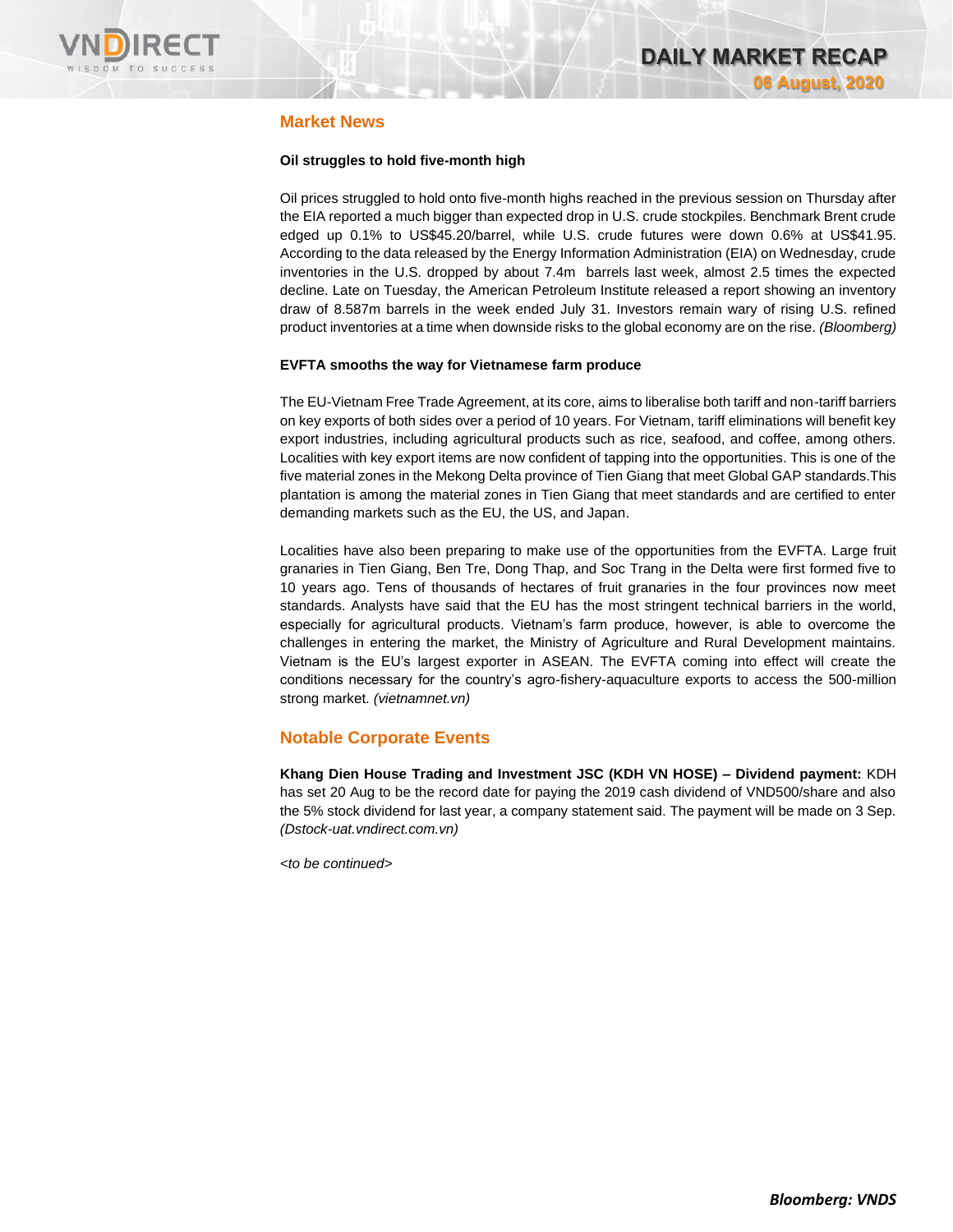

# **Market News**

#### **Oil struggles to hold five-month high**

Oil prices struggled to hold onto five-month highs reached in the previous session on Thursday after the EIA reported a much bigger than expected drop in U.S. crude stockpiles. Benchmark Brent crude edged up 0.1% to US\$45.20/barrel, while U.S. crude futures were down 0.6% at US\$41.95. According to the data released by the Energy Information Administration (EIA) on Wednesday, crude inventories in the U.S. dropped by about 7.4m barrels last week, almost 2.5 times the expected decline. Late on Tuesday, the American Petroleum Institute released a report showing an inventory draw of 8.587m barrels in the week ended July 31. Investors remain wary of rising U.S. refined product inventories at a time when downside risks to the global economy are on the rise. *(Bloomberg)*

#### **EVFTA smooths the way for Vietnamese farm produce**

The EU-Vietnam Free Trade Agreement, at its core, aims to liberalise both tariff and non-tariff barriers on key exports of both sides over a period of 10 years. For Vietnam, tariff eliminations will benefit key export industries, including agricultural products such as rice, seafood, and coffee, among others. Localities with key export items are now confident of tapping into the opportunities. This is one of the five material zones in the Mekong Delta province of Tien Giang that meet Global GAP standards.This plantation is among the material zones in Tien Giang that meet standards and are certified to enter demanding markets such as the EU, the US, and Japan.

Localities have also been preparing to make use of the opportunities from the EVFTA. Large fruit granaries in Tien Giang, Ben Tre, Dong Thap, and Soc Trang in the Delta were first formed five to 10 years ago. Tens of thousands of hectares of fruit granaries in the four provinces now meet standards. Analysts have said that the EU has the most stringent technical barriers in the world, especially for agricultural products. Vietnam's farm produce, however, is able to overcome the challenges in entering the market, the Ministry of Agriculture and Rural Development maintains. Vietnam is the EU's largest exporter in ASEAN. The EVFTA coming into effect will create the conditions necessary for the country's agro-fishery-aquaculture exports to access the 500-million strong market. *(vietnamnet.vn)*

## **Notable Corporate Events**

**Khang Dien House Trading and Investment JSC (KDH VN HOSE) – Dividend payment:** KDH has set 20 Aug to be the record date for paying the 2019 cash dividend of VND500/share and also the 5% stock dividend for last year, a company statement said. The payment will be made on 3 Sep. *(Dstock-uat.vndirect.com.vn)*

*<to be continued>*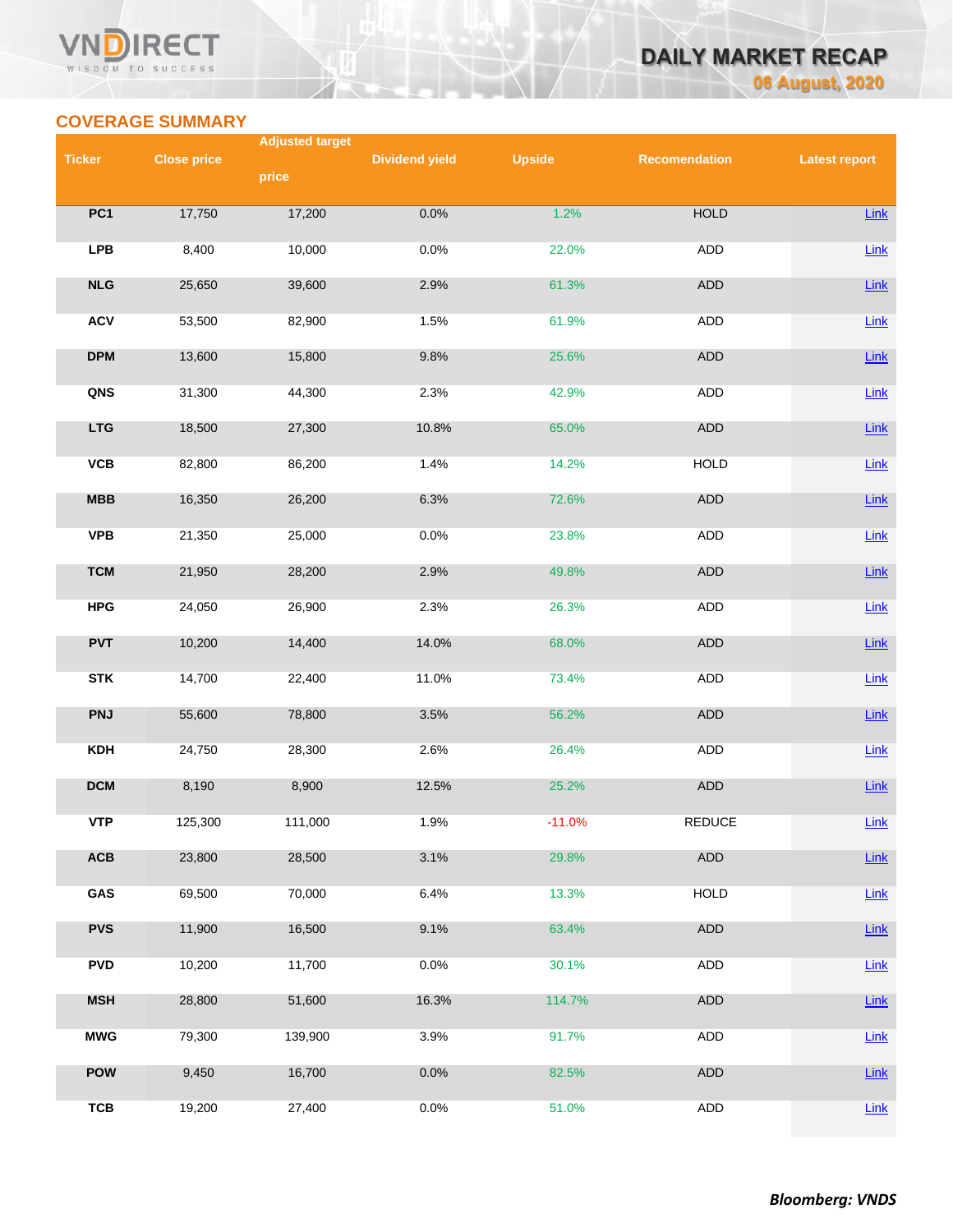#### VN **RECT** WISDOM TO SUCCESS

# **DAILY MARKET RECAP 06 August, 2020**

# **COVERAGE SUMMARY**

|               |                    | <b>Adjusted target</b> |                       |               |                      |                      |  |  |
|---------------|--------------------|------------------------|-----------------------|---------------|----------------------|----------------------|--|--|
| <b>Ticker</b> | <b>Close price</b> | price                  | <b>Dividend yield</b> | <b>Upside</b> | <b>Recomendation</b> | <b>Latest report</b> |  |  |
|               |                    |                        |                       |               |                      |                      |  |  |
| PC1           | 17,750             | 17,200                 | 0.0%                  | 1.2%          | <b>HOLD</b>          | <b>Link</b>          |  |  |
| <b>LPB</b>    | 8,400              | 10,000                 | 0.0%                  | 22.0%         | ADD                  | Link                 |  |  |
| NLG           | 25,650             | 39,600                 | 2.9%                  | 61.3%         | <b>ADD</b>           | Link                 |  |  |
| <b>ACV</b>    | 53,500             | 82,900                 | 1.5%                  | 61.9%         | <b>ADD</b>           | Link                 |  |  |
| <b>DPM</b>    | 13,600             | 15,800                 | 9.8%                  | 25.6%         | ADD                  | Link                 |  |  |
| QNS           | 31,300             | 44,300                 | 2.3%                  | 42.9%         | ADD                  | Link                 |  |  |
| <b>LTG</b>    | 18,500             | 27,300                 | 10.8%                 | 65.0%         | ADD                  | Link                 |  |  |
| VCB           | 82,800             | 86,200                 | 1.4%                  | 14.2%         | <b>HOLD</b>          | Link                 |  |  |
| MBB           | 16,350             | 26,200                 | 6.3%                  | 72.6%         | <b>ADD</b>           | Link                 |  |  |
| <b>VPB</b>    | 21,350             | 25,000                 | 0.0%                  | 23.8%         | ADD                  | Link                 |  |  |
| <b>TCM</b>    | 21,950             | 28,200                 | 2.9%                  | 49.8%         | <b>ADD</b>           | Link                 |  |  |
| <b>HPG</b>    | 24,050             | 26,900                 | 2.3%                  | 26.3%         | ADD                  | <b>Link</b>          |  |  |
| <b>PVT</b>    | 10,200             | 14,400                 | 14.0%                 | 68.0%         | ADD                  | Link                 |  |  |
| <b>STK</b>    | 14,700             | 22,400                 | 11.0%                 | 73.4%         | ADD                  | Link                 |  |  |
| <b>PNJ</b>    | 55,600             | 78,800                 | 3.5%                  | 56.2%         | ADD                  | <b>Link</b>          |  |  |
| <b>KDH</b>    | 24,750             | 28,300                 | 2.6%                  | 26.4%         | <b>ADD</b>           | Link                 |  |  |
| <b>DCM</b>    | 8,190              | 8,900                  | 12.5%                 | 25.2%         | ADD                  | <b>Link</b>          |  |  |
| <b>VTP</b>    | 125,300            | 111,000                | 1.9%                  | $-11.0%$      | <b>REDUCE</b>        | Link                 |  |  |
| ACB           | 23,800             | 28,500                 | 3.1%                  | 29.8%         | <b>ADD</b>           | <b>Link</b>          |  |  |
| GAS           | 69,500             | 70,000                 | 6.4%                  | 13.3%         | <b>HOLD</b>          | <b>Link</b>          |  |  |
| <b>PVS</b>    | 11,900             | 16,500                 | 9.1%                  | 63.4%         | ADD                  | <b>Link</b>          |  |  |
| <b>PVD</b>    | 10,200             | 11,700                 | 0.0%                  | 30.1%         | <b>ADD</b>           | Link                 |  |  |
| <b>MSH</b>    | 28,800             | 51,600                 | 16.3%                 | 114.7%        | ADD                  | <b>Link</b>          |  |  |
| <b>MWG</b>    | 79,300             | 139,900                | 3.9%                  | 91.7%         | ADD                  | <b>Link</b>          |  |  |
| <b>POW</b>    | 9,450              | 16,700                 | 0.0%                  | 82.5%         | ADD                  | <b>Link</b>          |  |  |
| <b>TCB</b>    | 19,200             | 27,400                 | 0.0%                  | 51.0%         | ADD                  | Link                 |  |  |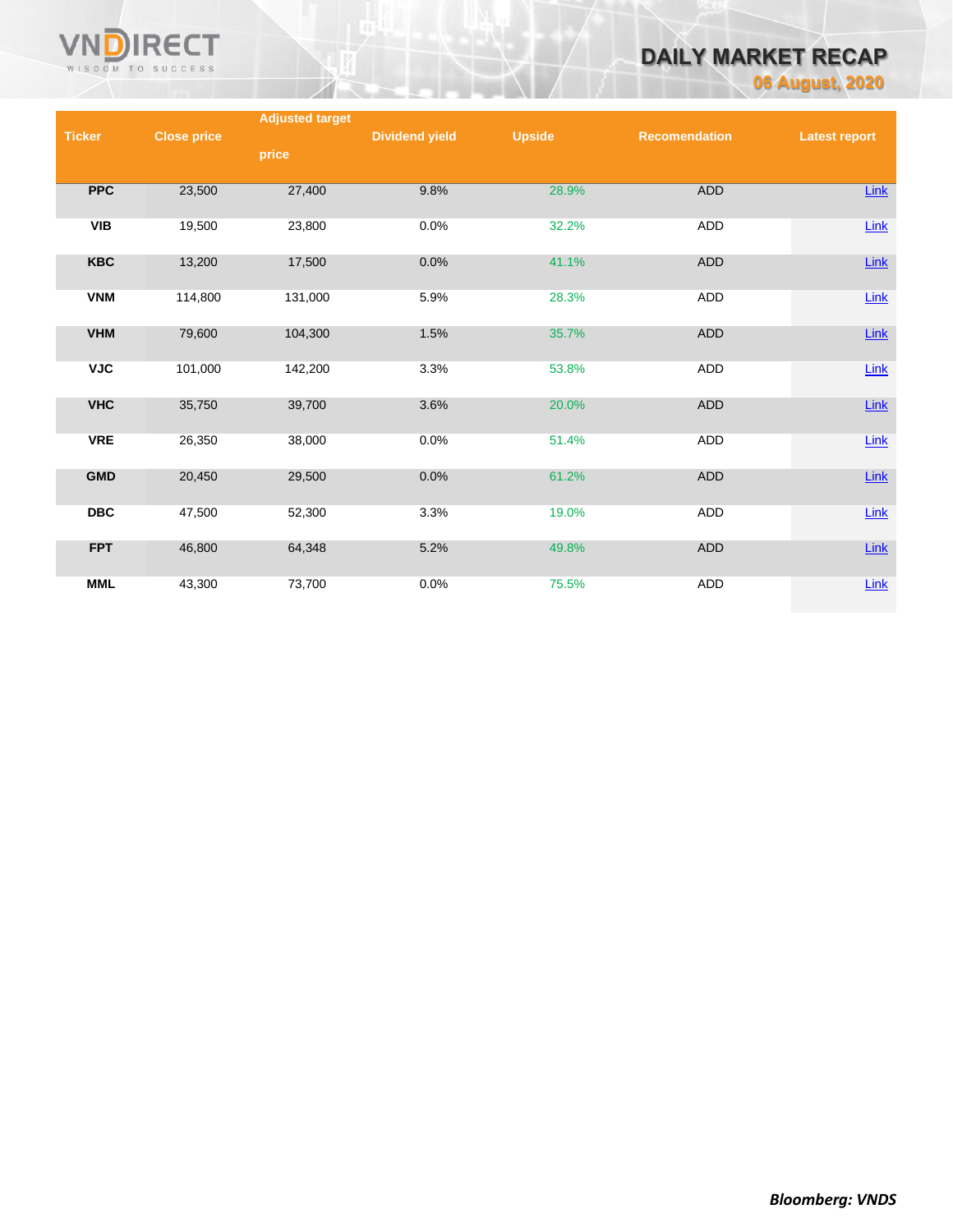

# **DAILY MARKET RECAP**

**06 August, 2020**

|               |                    | <b>Adjusted target</b> |                       |               |                      |                      |
|---------------|--------------------|------------------------|-----------------------|---------------|----------------------|----------------------|
| <b>Ticker</b> | <b>Close price</b> |                        | <b>Dividend yield</b> | <b>Upside</b> | <b>Recomendation</b> | <b>Latest report</b> |
|               |                    | price                  |                       |               |                      |                      |
|               |                    |                        |                       |               |                      |                      |
| <b>PPC</b>    | 23,500             | 27,400                 | 9.8%                  | 28.9%         | ADD                  | <b>Link</b>          |
|               |                    |                        |                       |               |                      |                      |
| <b>VIB</b>    | 19,500             | 23,800                 | 0.0%                  | 32.2%         | ADD                  | Link                 |
|               |                    |                        |                       |               |                      |                      |
| <b>KBC</b>    | 13,200             | 17,500                 | 0.0%                  | 41.1%         | ADD                  | <b>Link</b>          |
|               |                    |                        |                       |               |                      |                      |
| <b>VNM</b>    | 114,800            | 131,000                | 5.9%                  | 28.3%         | ADD                  | $Link$               |
|               |                    |                        |                       |               |                      |                      |
| <b>VHM</b>    | 79,600             | 104,300                | 1.5%                  | 35.7%         | ADD                  | <b>Link</b>          |
| <b>VJC</b>    |                    |                        | 3.3%                  | 53.8%         | ADD                  |                      |
|               | 101,000            | 142,200                |                       |               |                      | $Link$               |
| <b>VHC</b>    | 35,750             | 39,700                 | 3.6%                  | 20.0%         | ADD                  | $Link$               |
|               |                    |                        |                       |               |                      |                      |
| <b>VRE</b>    | 26,350             | 38,000                 | 0.0%                  | 51.4%         | ADD                  | $Link$               |
|               |                    |                        |                       |               |                      |                      |
| <b>GMD</b>    | 20,450             | 29,500                 | 0.0%                  | 61.2%         | ADD                  | Link                 |
|               |                    |                        |                       |               |                      |                      |
| <b>DBC</b>    | 47,500             | 52,300                 | 3.3%                  | 19.0%         | ADD                  | $Link$               |
|               |                    |                        |                       |               |                      |                      |
| <b>FPT</b>    | 46,800             | 64,348                 | 5.2%                  | 49.8%         | <b>ADD</b>           | <b>Link</b>          |
|               |                    |                        |                       |               |                      |                      |
| <b>MML</b>    | 43,300             | 73,700                 | 0.0%                  | 75.5%         | ADD                  | <b>Link</b>          |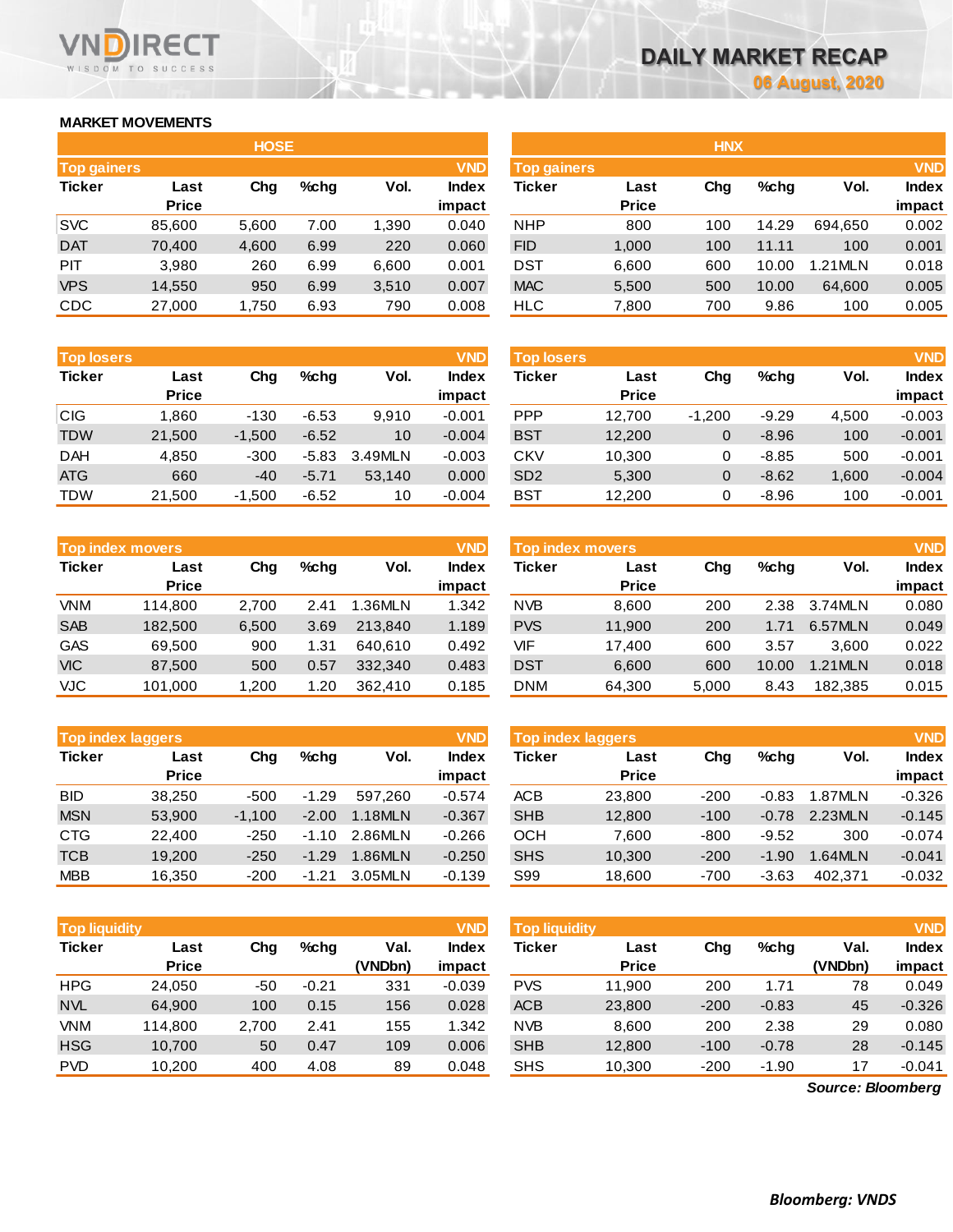#### **MARKET MOVEMENTS**

WISDOM TO SUCCESS

**RECT** 

|               |              | <b>HOSE</b> |         |       |            | <b>HNX</b>         |              |     |         |          |            |
|---------------|--------------|-------------|---------|-------|------------|--------------------|--------------|-----|---------|----------|------------|
| Top gainers   |              |             |         |       | <b>VND</b> | <b>Top gainers</b> |              |     |         |          | <b>VND</b> |
| <b>Ticker</b> | Last         | Chg         | $%$ chq | Vol.  | Index      | <b>Ticker</b>      | Last         | Chg | $%$ chg | Vol.     | Index      |
|               | <b>Price</b> |             |         |       | impact     |                    | <b>Price</b> |     |         |          | impact     |
| <b>SVC</b>    | 85,600       | 5,600       | 7.00    | 1,390 | 0.040      | <b>NHP</b>         | 800          | 100 | 14.29   | 694,650  | 0.002      |
| <b>DAT</b>    | 70,400       | 4,600       | 6.99    | 220   | 0.060      | <b>FID</b>         | 1,000        | 100 | 11.11   | 100      | 0.001      |
| <b>PIT</b>    | 3,980        | 260         | 6.99    | 6,600 | 0.001      | DST                | 6,600        | 600 | 10.00   | 1.21 MLN | 0.018      |
| <b>VPS</b>    | 14,550       | 950         | 6.99    | 3,510 | 0.007      | <b>MAC</b>         | 5,500        | 500 | 10.00   | 64,600   | 0.005      |
| CDC           | 27,000       | 1,750       | 6.93    | 790   | 0.008      | <b>HLC</b>         | 7,800        | 700 | 9.86    | 100      | 0.005      |

| <b>Top losers</b> |              |          |         |         | <b>VND</b>   |
|-------------------|--------------|----------|---------|---------|--------------|
| <b>Ticker</b>     | Last         | Cha      | %chq    | Vol.    | <b>Index</b> |
|                   | <b>Price</b> |          |         |         | impact       |
| <b>CIG</b>        | 1,860        | $-130$   | $-6.53$ | 9,910   | $-0.001$     |
| <b>TDW</b>        | 21,500       | $-1,500$ | $-6.52$ | 10      | $-0.004$     |
| <b>DAH</b>        | 4,850        | $-300$   | $-5.83$ | 3.49MLN | $-0.003$     |
| <b>ATG</b>        | 660          | $-40$    | $-5.71$ | 53,140  | 0.000        |
| <b>TDW</b>        | 21,500       | $-1,500$ | $-6.52$ | 10      | $-0.004$     |

| <b>Top index movers</b> |              |       |      | <b>VND</b> |              |
|-------------------------|--------------|-------|------|------------|--------------|
| <b>Ticker</b>           | Last         | Cha   | %chq | Vol.       | <b>Index</b> |
|                         | <b>Price</b> |       |      |            | impact       |
| <b>VNM</b>              | 114,800      | 2,700 | 2.41 | 1.36MLN    | 1.342        |
| <b>SAB</b>              | 182,500      | 6,500 | 3.69 | 213.840    | 1.189        |
| <b>GAS</b>              | 69,500       | 900   | 1.31 | 640.610    | 0.492        |
| <b>VIC</b>              | 87,500       | 500   | 0.57 | 332,340    | 0.483        |
| <b>VJC</b>              | 101,000      | 1,200 | 1.20 | 362.410    | 0.185        |

|               | <b>VND</b><br><b>Top index laggers</b> |          |         |         |              |  |  |  |  |  |  |  |
|---------------|----------------------------------------|----------|---------|---------|--------------|--|--|--|--|--|--|--|
| <b>Ticker</b> | Last                                   | Cha      | $%$ chq | Vol.    | <b>Index</b> |  |  |  |  |  |  |  |
|               | <b>Price</b>                           |          |         |         | impact       |  |  |  |  |  |  |  |
| <b>BID</b>    | 38,250                                 | $-500$   | $-1.29$ | 597,260 | $-0.574$     |  |  |  |  |  |  |  |
| <b>MSN</b>    | 53,900                                 | $-1,100$ | $-2.00$ | 1.18MLN | $-0.367$     |  |  |  |  |  |  |  |
| <b>CTG</b>    | 22,400                                 | $-250$   | $-1.10$ | 2.86MLN | $-0.266$     |  |  |  |  |  |  |  |
| <b>TCB</b>    | 19,200                                 | $-250$   | $-1.29$ | 1.86MLN | $-0.250$     |  |  |  |  |  |  |  |
| <b>MBB</b>    | 16,350                                 | $-200$   | $-1.21$ | 3.05MLN | $-0.139$     |  |  |  |  |  |  |  |

| <b>Top liquidity</b> |              |       |         |         | <b>VND</b> | <b>Top liquidity</b> |              |        |         |         | <b>VND</b> |
|----------------------|--------------|-------|---------|---------|------------|----------------------|--------------|--------|---------|---------|------------|
| <b>Ticker</b>        | Last         | Chg   | $%$ chq | Val.    | Index      | Ticker               | Last         | Chg    | $%$ chq | Val.    | Index      |
|                      | <b>Price</b> |       |         | (VNDbn) | impact     |                      | <b>Price</b> |        |         | (VNDbn) | impact     |
| <b>HPG</b>           | 24.050       | -50   | $-0.21$ | 331     | $-0.039$   | <b>PVS</b>           | 11.900       | 200    | 1.71    | 78      | 0.049      |
| <b>NVL</b>           | 64,900       | 100   | 0.15    | 156     | 0.028      | <b>ACB</b>           | 23,800       | $-200$ | $-0.83$ | 45      | $-0.326$   |
| <b>VNM</b>           | 114.800      | 2,700 | 2.41    | 155     | 1.342      | <b>NVB</b>           | 8.600        | 200    | 2.38    | 29      | 0.080      |
| <b>HSG</b>           | 10.700       | 50    | 0.47    | 109     | 0.006      | <b>SHB</b>           | 12,800       | $-100$ | $-0.78$ | 28      | $-0.145$   |
| <b>PVD</b>           | 10,200       | 400   | 4.08    | 89      | 0.048      | <b>SHS</b>           | 10,300       | $-200$ | $-1.90$ | 17      | $-0.041$   |

| <b>HNX</b>         |              |     |         |         |              |  |  |  |  |  |
|--------------------|--------------|-----|---------|---------|--------------|--|--|--|--|--|
| <b>Top gainers</b> |              |     |         |         | <b>VND</b>   |  |  |  |  |  |
| <b>Ticker</b>      | Last         | Cha | $%$ chq | Vol.    | <b>Index</b> |  |  |  |  |  |
|                    | <b>Price</b> |     |         |         | impact       |  |  |  |  |  |
| <b>NHP</b>         | 800          | 100 | 14.29   | 694,650 | 0.002        |  |  |  |  |  |
| <b>FID</b>         | 1,000        | 100 | 11.11   | 100     | 0.001        |  |  |  |  |  |
| <b>DST</b>         | 6,600        | 600 | 10.00   | 1.21MLN | 0.018        |  |  |  |  |  |
| <b>MAC</b>         | 5,500        | 500 | 10.00   | 64,600  | 0.005        |  |  |  |  |  |
| <b>HLC</b>         | 7,800        | 700 | 9.86    | 100     | 0.005        |  |  |  |  |  |

| <b>Top losers</b> |              |          |         |         | <b>VND</b> | <b>Top losers</b> |              |          |         |       | <b>VND</b>   |
|-------------------|--------------|----------|---------|---------|------------|-------------------|--------------|----------|---------|-------|--------------|
| Ticker            | Last         | Chg      | $%$ chq | Vol.    | Index      | <b>Ticker</b>     | Last         | Chg      | $%$ chq | Vol.  | <b>Index</b> |
|                   | <b>Price</b> |          |         |         | impact     |                   | <b>Price</b> |          |         |       | impact       |
| CIG               | .860         | $-130$   | $-6.53$ | 9,910   | $-0.001$   | <b>PPP</b>        | 12.700       | $-1.200$ | $-9.29$ | 4,500 | $-0.003$     |
| <b>TDW</b>        | 21,500       | $-1,500$ | $-6.52$ | 10      | $-0.004$   | <b>BST</b>        | 12,200       | 0        | $-8.96$ | 100   | $-0.001$     |
| <b>DAH</b>        | 4,850        | $-300$   | $-5.83$ | 3.49MLN | $-0.003$   | <b>CKV</b>        | 10,300       | 0        | $-8.85$ | 500   | $-0.001$     |
| <b>ATG</b>        | 660          | $-40$    | $-5.71$ | 53,140  | 0.000      | SD <sub>2</sub>   | 5,300        | 0        | $-8.62$ | 1,600 | $-0.004$     |
| TDW               | 21,500       | $-1,500$ | $-6.52$ | 10      | $-0.004$   | <b>BST</b>        | 12,200       | 0        | $-8.96$ | 100   | $-0.001$     |
|                   |              |          |         |         |            |                   |              |          |         |       |              |

|            | <b>Top index movers</b> |       |         |         | VND                    | Top index movers |                      | <b>VND</b> |         |         |                 |
|------------|-------------------------|-------|---------|---------|------------------------|------------------|----------------------|------------|---------|---------|-----------------|
| Ticker     | Last<br><b>Price</b>    | Chg   | $%$ chq | Vol.    | <b>Index</b><br>impact | Ticker           | Last<br><b>Price</b> | Chg        | $%$ chq | Vol.    | Index<br>impact |
| <b>VNM</b> | 114.800                 | 2.700 | 2.41    | .36MLN  | 1.342                  | <b>NVB</b>       | 8,600                | 200        | 2.38    | 3.74MLN | 0.080           |
| <b>SAB</b> | 182,500                 | 6,500 | 3.69    | 213.840 | 1.189                  | <b>PVS</b>       | 11,900               | 200        | 1.71    | 6.57MLN | 0.049           |
| GAS        | 69.500                  | 900   | 1.31    | 640.610 | 0.492                  | VIF              | 17.400               | 600        | 3.57    | 3.600   | 0.022           |
| <b>VIC</b> | 87.500                  | 500   | 0.57    | 332,340 | 0.483                  | <b>DST</b>       | 6,600                | 600        | 10.00   | 1.21MLN | 0.018           |
| <b>VJC</b> | 101,000                 | 1,200 | 1.20    | 362,410 | 0.185                  | DNM              | 64,300               | 5,000      | 8.43    | 182,385 | 0.015           |

|            | <b>Top index laggers</b> |          |         |         | VND      | <b>Top index laggers</b> |              |        |         |         |          |
|------------|--------------------------|----------|---------|---------|----------|--------------------------|--------------|--------|---------|---------|----------|
| Ticker     | Last                     | Chg      | $%$ chq | Vol.    | Index    | Ticker                   | Last         | Chg    | $%$ chq | Vol.    | Index    |
|            | <b>Price</b>             |          |         |         | impact   |                          | <b>Price</b> |        |         |         | impact   |
| <b>BID</b> | 38.250                   | $-500$   | $-1.29$ | 597.260 | $-0.574$ | <b>ACB</b>               | 23.800       | $-200$ | $-0.83$ | 1.87MLN | $-0.326$ |
| <b>MSN</b> | 53.900                   | $-1.100$ | $-2.00$ | 1.18MLN | $-0.367$ | <b>SHB</b>               | 12,800       | $-100$ | $-0.78$ | 2.23MLN | $-0.145$ |
| CTG        | 22,400                   | $-250$   | $-1.10$ | 2.86MLN | $-0.266$ | ОСН                      | 7.600        | $-800$ | $-9.52$ | 300     | $-0.074$ |
| TCB        | 19.200                   | $-250$   | $-1.29$ | .86MLN  | $-0.250$ | <b>SHS</b>               | 10,300       | $-200$ | $-1.90$ | .64MLN  | $-0.041$ |
| <b>MBB</b> | 16,350                   | $-200$   | $-1.21$ | 3.05MLN | $-0.139$ | S99                      | 18,600       | $-700$ | $-3.63$ | 402.371 | $-0.032$ |

| Top liquidity |              |       |         |                   | <b>VND</b>   | Top liquidity |              |        |         |         | <b>VND</b>   |
|---------------|--------------|-------|---------|-------------------|--------------|---------------|--------------|--------|---------|---------|--------------|
| Ticker        | Last         | Chg   | $%$ chg | Val.              | <b>Index</b> | Ticker        | Last         | Chg    | $%$ chg | Val.    | <b>Index</b> |
|               | <b>Price</b> |       |         | (VNDbn)           | impact       |               | <b>Price</b> |        |         | (VNDbn) | impact       |
| <b>HPG</b>    | 24,050       | -50   | $-0.21$ | 331               | $-0.039$     | <b>PVS</b>    | 11,900       | 200    | 1.71    | 78      | 0.049        |
| <b>NVL</b>    | 64,900       | 100   | 0.15    | 156               | 0.028        | <b>ACB</b>    | 23,800       | $-200$ | $-0.83$ | 45      | $-0.326$     |
| <b>VNM</b>    | 114.800      | 2.700 | 2.41    | 155               | 1.342        | <b>NVB</b>    | 8,600        | 200    | 2.38    | 29      | 0.080        |
| <b>HSG</b>    | 10.700       | 50    | 0.47    | 109               | 0.006        | <b>SHB</b>    | 12,800       | $-100$ | $-0.78$ | 28      | $-0.145$     |
| <b>PVD</b>    | 10,200       | 400   | 4.08    | 89                | 0.048        | <b>SHS</b>    | 10,300       | $-200$ | $-1.90$ | 17      | $-0.041$     |
|               |              |       |         | Source: Bloomberg |              |               |              |        |         |         |              |

*Source: Bloomberg*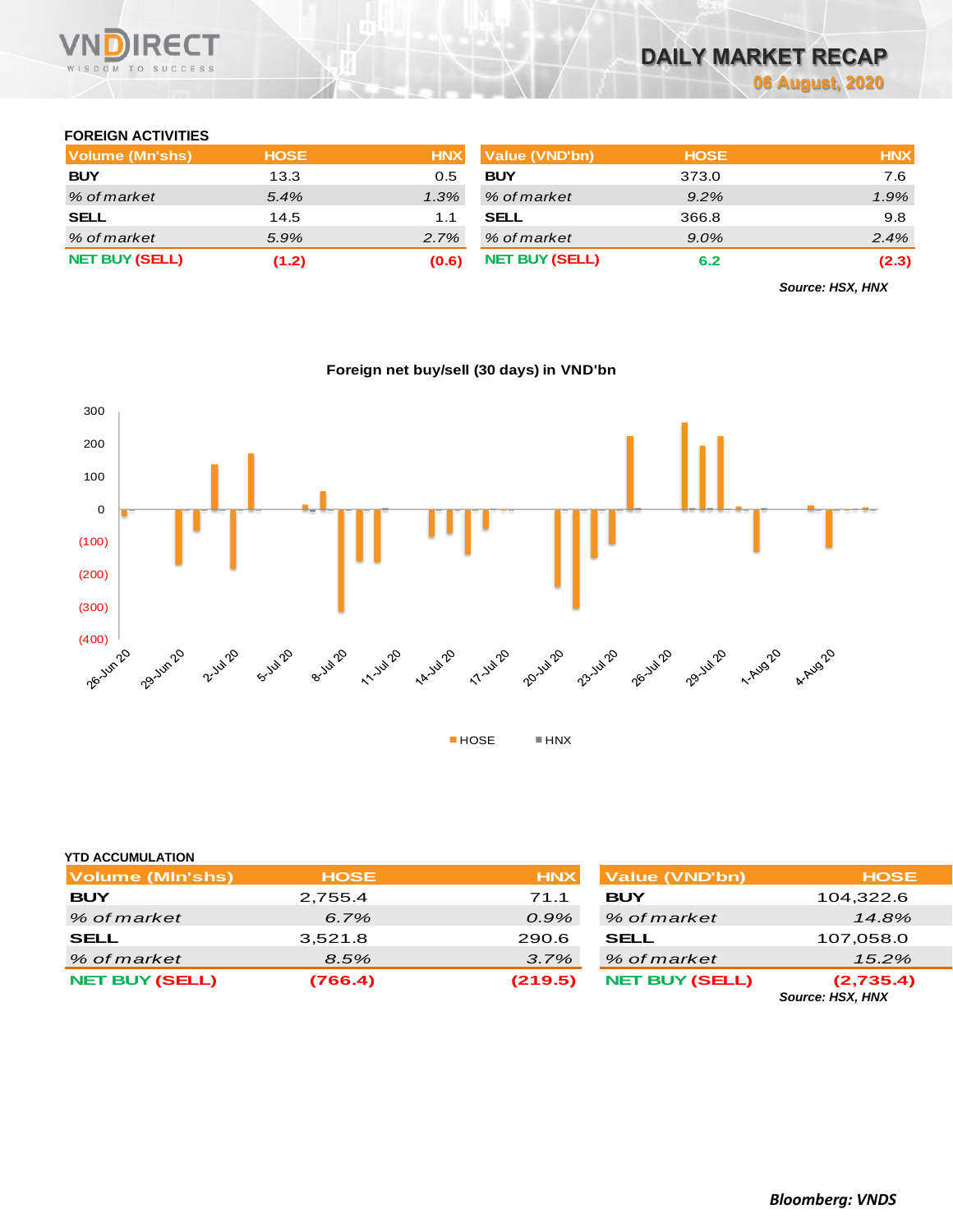

# **FOREIGN ACTIVITIES**

| Volume (Mn'shs)       | <b>HOSE</b> | <b>HNX</b> | Value (VND'bn)        | <b>HOSE</b> | <b>HNX</b> |
|-----------------------|-------------|------------|-----------------------|-------------|------------|
| BUY                   | 13.3        | 0.5        | <b>BUY</b>            | 373.0       | 7.6        |
| % of market           | 5.4%        | $1.3\%$    | % of market           | 9.2%        | 1.9%       |
| SELL                  | 14.5        | 1.1        | <b>SELL</b>           | 366.8       | 9.8        |
| % of market           | 5.9%        | 2.7%       | % of market           | $9.0\%$     | 2.4%       |
| <b>NET BUY (SELL)</b> | (1.2)       | (0.6)      | <b>NET BUY (SELL)</b> | 6.2         | (2.3)      |

*Source: HSX, HNX*



## **Foreign net buy/sell (30 days) in VND'bn**

| <b>YTD ACCUMULATION</b> |             |            |                       |             |
|-------------------------|-------------|------------|-----------------------|-------------|
| Volume (MIn'shs)        | <b>HOSE</b> | <b>HNX</b> | <b>Value (VND'bn)</b> | <b>HOSE</b> |
| <b>BUY</b>              | 2,755.4     | 71.1       | BUY                   | 104,322.6   |
| % of market             | 6.7%        | $0.9\%$    | % of market           | 14.8%       |
| <b>SELL</b>             | 3,521.8     | 290.6      | SELL                  | 107,058.0   |
| % of market             | 8.5%        | 3.7%       | % of market           | 15.2%       |
| <b>NET BUY (SELL)</b>   | (766.4)     | (219.5)    | <b>NET BUY (SELL)</b> | (2,735.4)   |

*Source: HSX, HNX*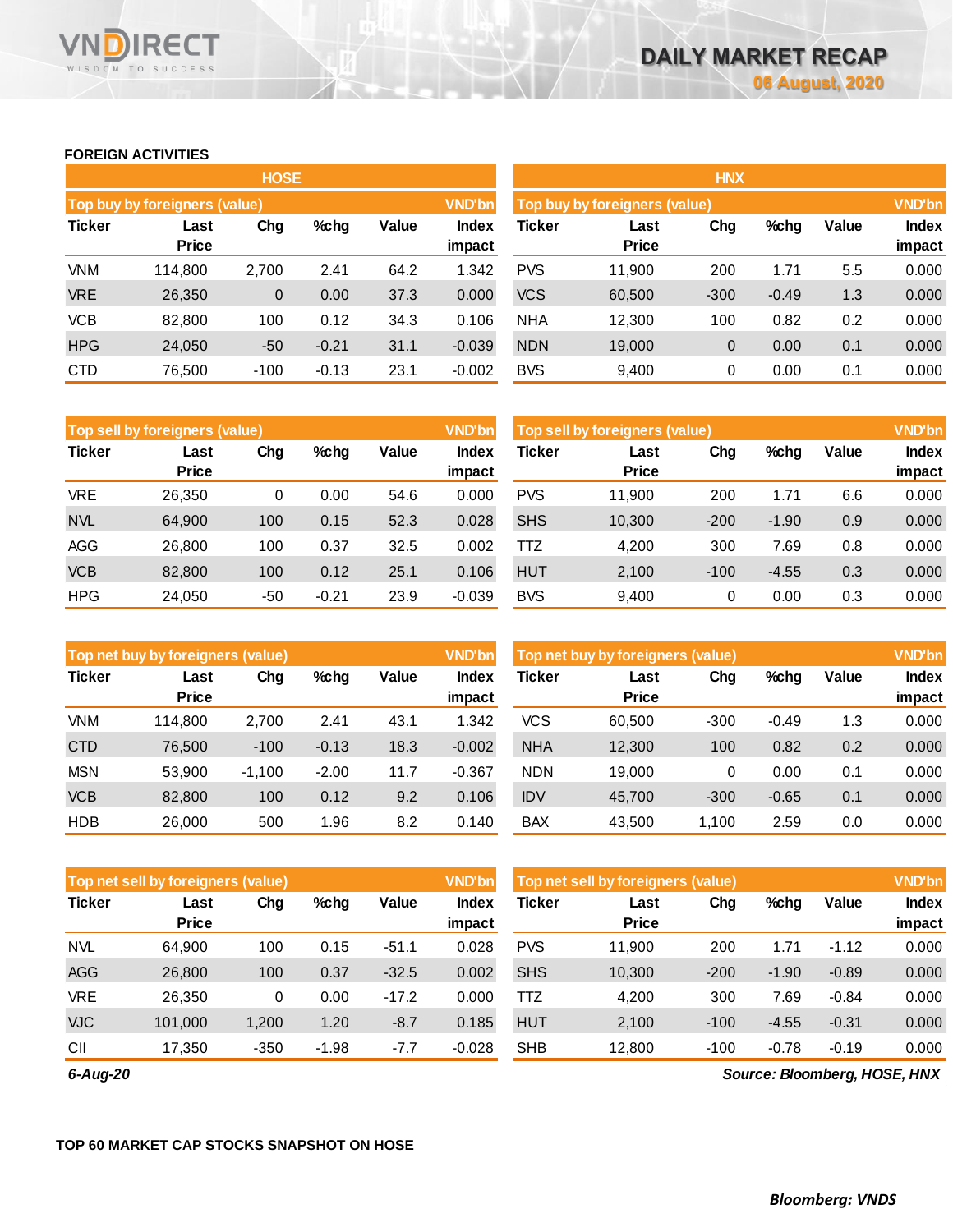# **FOREIGN ACTIVITIES**

WISDOM TO SUCCESS

**RECT** 

VND

|               |                               | <b>HOSE</b> |         |       |                        | <b>HNX</b>                    |                      |             |         |       |                        |  |
|---------------|-------------------------------|-------------|---------|-------|------------------------|-------------------------------|----------------------|-------------|---------|-------|------------------------|--|
|               | Top buy by foreigners (value) |             |         |       | <b>VND'bn</b>          | Top buy by foreigners (value) |                      |             |         |       |                        |  |
| <b>Ticker</b> | Last<br><b>Price</b>          | Chg         | %chg    | Value | <b>Index</b><br>impact | Ticker                        | Last<br><b>Price</b> | Chg         | %chg    | Value | <b>Index</b><br>impact |  |
| <b>VNM</b>    | 114,800                       | 2,700       | 2.41    | 64.2  | 1.342                  | <b>PVS</b>                    | 11,900               | 200         | 1.71    | 5.5   | 0.000                  |  |
| <b>VRE</b>    | 26,350                        | 0           | 0.00    | 37.3  | 0.000                  | <b>VCS</b>                    | 60,500               | $-300$      | $-0.49$ | 1.3   | 0.000                  |  |
| <b>VCB</b>    | 82,800                        | 100         | 0.12    | 34.3  | 0.106                  | <b>NHA</b>                    | 12,300               | 100         | 0.82    | 0.2   | 0.000                  |  |
| <b>HPG</b>    | 24,050                        | $-50$       | $-0.21$ | 31.1  | $-0.039$               | <b>NDN</b>                    | 19,000               | $\mathbf 0$ | 0.00    | 0.1   | 0.000                  |  |
| <b>CTD</b>    | 76,500                        | $-100$      | $-0.13$ | 23.1  | $-0.002$               | <b>BVS</b>                    | 9,400                | 0           | 0.00    | 0.1   | 0.000                  |  |

|               | Top sell by foreigners (value) |     |         |              | <b>VND'bn</b> | Top sell by foreigners (value) |              |        |         |              |        |
|---------------|--------------------------------|-----|---------|--------------|---------------|--------------------------------|--------------|--------|---------|--------------|--------|
| <b>Ticker</b> | Chg<br>$%$ chg<br>Last         |     | Value   | <b>Index</b> | Ticker        | Last                           | Chg          | %chg   | Value   | <b>Index</b> |        |
|               | <b>Price</b>                   |     |         |              | impact        |                                | <b>Price</b> |        |         |              | impact |
| <b>VRE</b>    | 26,350                         | 0   | 0.00    | 54.6         | 0.000         | <b>PVS</b>                     | 11.900       | 200    | 1.71    | 6.6          | 0.000  |
| <b>NVL</b>    | 64,900                         | 100 | 0.15    | 52.3         | 0.028         | <b>SHS</b>                     | 10,300       | $-200$ | $-1.90$ | 0.9          | 0.000  |
| <b>AGG</b>    | 26,800                         | 100 | 0.37    | 32.5         | 0.002         | πz                             | 4.200        | 300    | 7.69    | 0.8          | 0.000  |
| <b>VCB</b>    | 82,800                         | 100 | 0.12    | 25.1         | 0.106         | <b>HUT</b>                     | 2,100        | $-100$ | $-4.55$ | 0.3          | 0.000  |
| <b>HPG</b>    | 24,050                         | -50 | $-0.21$ | 23.9         | $-0.039$      | <b>BVS</b>                     | 9.400        | 0      | 0.00    | 0.3          | 0.000  |

|               | Top net buy by foreigners (value) |          |         |       | <b>VND'bn</b>   | Top net buy by foreigners (value) |                      | <b>VND'bn</b> |         |              |                        |
|---------------|-----------------------------------|----------|---------|-------|-----------------|-----------------------------------|----------------------|---------------|---------|--------------|------------------------|
| <b>Ticker</b> | Last<br><b>Price</b>              | Chg      | $%$ chg | Value | Index<br>impact | Ticker                            | Last<br><b>Price</b> | Chg           | %chg    | <b>Value</b> | <b>Index</b><br>impact |
|               |                                   |          |         |       |                 |                                   |                      |               |         |              |                        |
| <b>VNM</b>    | 114.800                           | 2,700    | 2.41    | 43.1  | 1.342           | <b>VCS</b>                        | 60,500               | $-300$        | $-0.49$ | 1.3          | 0.000                  |
| <b>CTD</b>    | 76.500                            | $-100$   | $-0.13$ | 18.3  | $-0.002$        | <b>NHA</b>                        | 12,300               | 100           | 0.82    | 0.2          | 0.000                  |
| <b>MSN</b>    | 53,900                            | $-1,100$ | $-2.00$ | 11.7  | $-0.367$        | <b>NDN</b>                        | 19.000               | 0             | 0.00    | 0.1          | 0.000                  |
| <b>VCB</b>    | 82,800                            | 100      | 0.12    | 9.2   | 0.106           | <b>IDV</b>                        | 45.700               | $-300$        | $-0.65$ | 0.1          | 0.000                  |
| <b>HDB</b>    | 26,000                            | 500      | 1.96    | 8.2   | 0.140           | <b>BAX</b>                        | 43.500               | 1.100         | 2.59    | 0.0          | 0.000                  |

|               | Top net sell by foreigners (value) |        |         |         | <b>VND'bn</b>          | <b>VND'bn</b><br>Top net sell by foreigners (value) |                      |        |         |         |                              |
|---------------|------------------------------------|--------|---------|---------|------------------------|-----------------------------------------------------|----------------------|--------|---------|---------|------------------------------|
| <b>Ticker</b> | Last<br><b>Price</b>               | Chg    | $%$ chg | Value   | <b>Index</b><br>impact | Ticker                                              | Last<br><b>Price</b> | Chg    | %chg    | Value   | <b>Index</b><br>impact       |
| <b>NVL</b>    | 64,900                             | 100    | 0.15    | $-51.1$ | 0.028                  | <b>PVS</b>                                          | 11,900               | 200    | 1.71    | $-1.12$ | 0.000                        |
| <b>AGG</b>    | 26,800                             | 100    | 0.37    | $-32.5$ | 0.002                  | <b>SHS</b>                                          | 10,300               | $-200$ | $-1.90$ | $-0.89$ | 0.000                        |
| VRE           | 26,350                             | 0      | 0.00    | $-17.2$ | 0.000                  | TΤZ                                                 | 4,200                | 300    | 7.69    | $-0.84$ | 0.000                        |
| <b>VJC</b>    | 101,000                            | 1,200  | 1.20    | $-8.7$  | 0.185                  | <b>HUT</b>                                          | 2,100                | $-100$ | $-4.55$ | $-0.31$ | 0.000                        |
| CII           | 17.350                             | $-350$ | $-1.98$ | -7.7    | $-0.028$               | <b>SHB</b>                                          | 12,800               | $-100$ | $-0.78$ | $-0.19$ | 0.000                        |
| $6 - Aug-20$  |                                    |        |         |         |                        |                                                     |                      |        |         |         | Source: Bloomberg, HOSE, HNX |

**TOP 60 MARKET CAP STOCKS SNAPSHOT ON HOSE**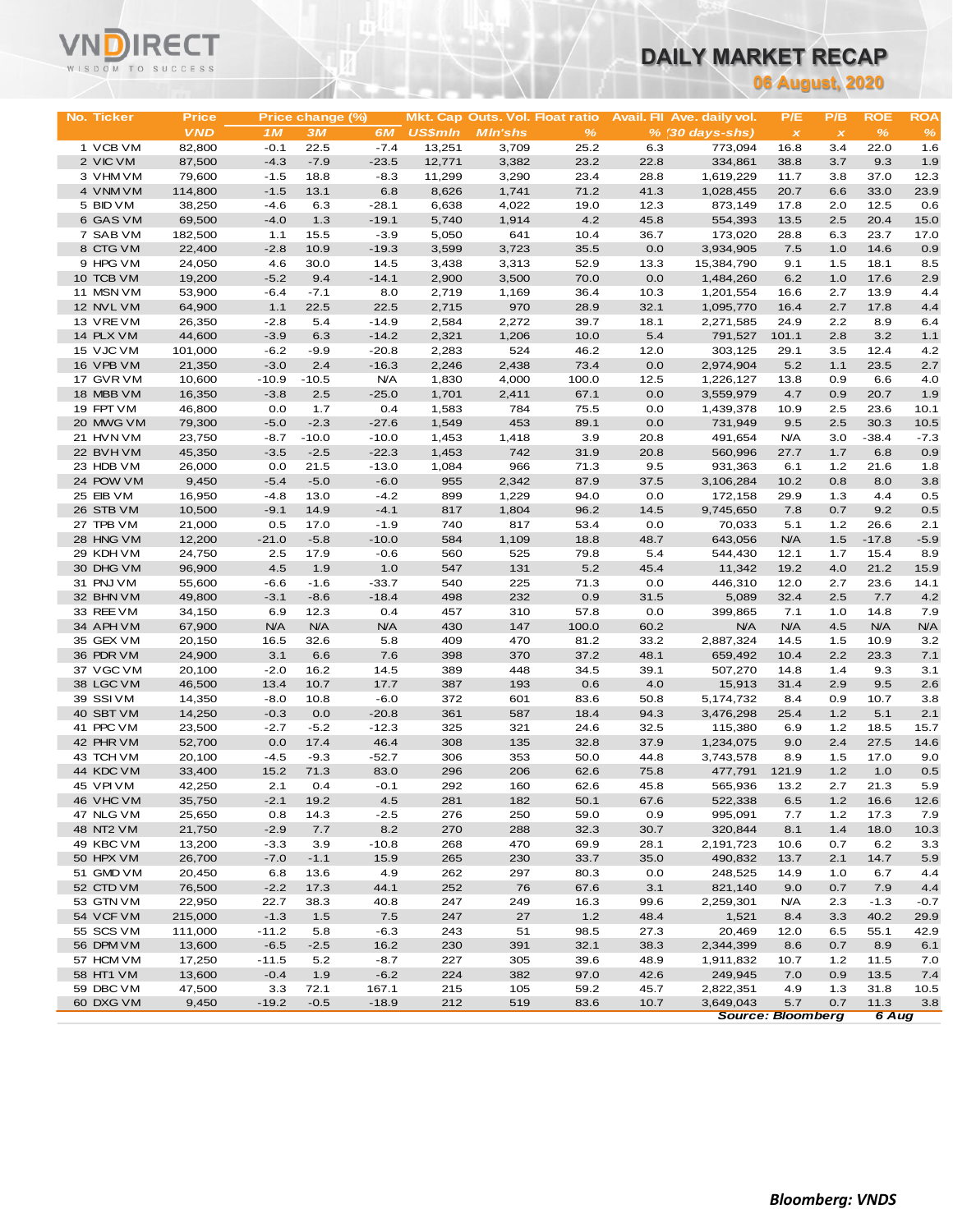# VND

# **DAILY MARKET RECAP**

| <b>III</b>             |                   |                   |                    |                    |                  |                                        | <b>DAILY MARKET RECAP</b> |              |                            |                          |                |                    |                   |
|------------------------|-------------------|-------------------|--------------------|--------------------|------------------|----------------------------------------|---------------------------|--------------|----------------------------|--------------------------|----------------|--------------------|-------------------|
| WISDOM TO SUCCESS      |                   |                   |                    |                    |                  |                                        |                           |              |                            | 06 August, 2020          |                |                    |                   |
|                        |                   |                   |                    |                    |                  |                                        |                           |              |                            |                          |                |                    |                   |
| No. Ticker             | <b>Price</b>      |                   | Price change (%)   |                    |                  | <b>Mkt. Cap Outs. Vol. Float ratio</b> |                           |              | Avail. Fil Ave. daily vol. | P/E                      | P/B            | <b>ROE</b>         | <b>ROA</b>        |
|                        | <b>VND</b>        | 1 <sub>M</sub>    | <b>3M</b>          | 6M                 | US\$min          | <b>MIn'shs</b>                         | $\frac{9}{6}$             |              | $% (30 days-shs)$          | $\pmb{\times}$           | $\pmb{\times}$ | $\%$               | $\frac{9}{6}$     |
| 1 VCB VM<br>2 VIC VM   | 82,800<br>87,500  | $-0.1$<br>$-4.3$  | 22.5<br>$-7.9$     | $-7.4$<br>$-23.5$  | 13,251<br>12,771 | 3,709<br>3,382                         | 25.2<br>23.2              | 6.3<br>22.8  | 773,094<br>334,861         | 16.8<br>38.8             | 3.4<br>3.7     | 22.0<br>9.3        | 1.6<br>1.9        |
| 3 VHM VM               | 79,600            | $-1.5$            | 18.8               | $-8.3$             | 11,299           | 3,290                                  | 23.4                      | 28.8         | 1,619,229                  | 11.7                     | 3.8            | 37.0               | 12.3              |
| 4 VNM VM               | 114,800           | $-1.5$            | 13.1               | 6.8                | 8,626            | 1,741                                  | 71.2                      | 41.3         | 1,028,455                  | 20.7                     | 6.6            | 33.0               | 23.9              |
| 5 BID VM               | 38,250            | $-4.6$            | 6.3                | $-28.1$            | 6,638            | 4,022                                  | 19.0                      | 12.3         | 873,149                    | 17.8                     | 2.0            | 12.5               | 0.6               |
| 6 GAS VM               | 69,500            | $-4.0$            | 1.3                | $-19.1$            | 5,740            | 1,914                                  | 4.2                       | 45.8         | 554,393                    | 13.5                     | 2.5            | 20.4               | 15.0              |
| 7 SAB VM               | 182,500           | 1.1<br>$-2.8$     | 15.5               | $-3.9$<br>$-19.3$  | 5,050            | 641                                    | 10.4                      | 36.7         | 173,020                    | 28.8                     | 6.3            | 23.7               | 17.0              |
| 8 CTG VM<br>9 HPG VM   | 22,400<br>24,050  | 4.6               | 10.9<br>30.0       | 14.5               | 3,599<br>3,438   | 3,723<br>3,313                         | 35.5<br>52.9              | 0.0<br>13.3  | 3,934,905<br>15,384,790    | 7.5<br>9.1               | 1.0<br>1.5     | 14.6<br>18.1       | 0.9<br>8.5        |
| 10 TCB VM              | 19,200            | $-5.2$            | 9.4                | $-14.1$            | 2,900            | 3,500                                  | 70.0                      | 0.0          | 1,484,260                  | 6.2                      | 1.0            | 17.6               | 2.9               |
| 11 MSN VM              | 53,900            | $-6.4$            | $-7.1$             | 8.0                | 2,719            | 1,169                                  | 36.4                      | 10.3         | 1,201,554                  | 16.6                     | 2.7            | 13.9               | 4.4               |
| 12 NVL VM              | 64,900            | 1.1               | 22.5               | 22.5               | 2,715            | 970                                    | 28.9                      | 32.1         | 1,095,770                  | 16.4                     | 2.7            | 17.8               | 4.4               |
| 13 VREVM               | 26,350            | $-2.8$            | 5.4                | $-14.9$            | 2,584            | 2,272                                  | 39.7                      | 18.1         | 2,271,585                  | 24.9                     | 2.2            | 8.9                | 6.4               |
| 14 PLX VM<br>15 VJC VM | 44,600<br>101,000 | $-3.9$<br>$-6.2$  | 6.3<br>$-9.9$      | $-14.2$<br>$-20.8$ | 2,321<br>2,283   | 1,206<br>524                           | 10.0<br>46.2              | 5.4<br>12.0  | 791,527<br>303,125         | 101.1<br>29.1            | 2.8<br>3.5     | 3.2<br>12.4        | 1.1<br>4.2        |
| 16 VPB VM              | 21,350            | $-3.0$            | 2.4                | $-16.3$            | 2,246            | 2,438                                  | 73.4                      | 0.0          | 2,974,904                  | 5.2                      | 1.1            | 23.5               | 2.7               |
| 17 GVR VM              | 10,600            | $-10.9$           | $-10.5$            | <b>N/A</b>         | 1,830            | 4,000                                  | 100.0                     | 12.5         | 1,226,127                  | 13.8                     | 0.9            | 6.6                | 4.0               |
| 18 MBB VM              | 16,350            | $-3.8$            | 2.5                | $-25.0$            | 1,701            | 2,411                                  | 67.1                      | 0.0          | 3,559,979                  | 4.7                      | 0.9            | 20.7               | 1.9               |
| 19 FPT VM              | 46,800            | 0.0               | 1.7                | 0.4                | 1,583            | 784                                    | 75.5                      | 0.0          | 1,439,378                  | 10.9                     | 2.5            | 23.6               | 10.1              |
| 20 MWG VM              | 79,300            | $-5.0$            | $-2.3$             | $-27.6$            | 1,549            | 453                                    | 89.1<br>3.9               | 0.0          | 731,949                    | 9.5                      | 2.5            | 30.3               | 10.5              |
| 21 HVN VM<br>22 BVHVM  | 23,750<br>45,350  | $-8.7$<br>$-3.5$  | $-10.0$<br>$-2.5$  | $-10.0$<br>$-22.3$ | 1,453<br>1,453   | 1,418<br>742                           | 31.9                      | 20.8<br>20.8 | 491,654<br>560,996         | <b>N/A</b><br>27.7       | 3.0<br>1.7     | $-38.4$<br>6.8     | $-7.3$<br>0.9     |
| 23 HDB VM              | 26,000            | 0.0               | 21.5               | $-13.0$            | 1,084            | 966                                    | 71.3                      | 9.5          | 931,363                    | 6.1                      | 1.2            | 21.6               | 1.8               |
| 24 POW VM              | 9,450             | $-5.4$            | $-5.0$             | $-6.0$             | 955              | 2,342                                  | 87.9                      | 37.5         | 3,106,284                  | 10.2                     | 0.8            | 8.0                | 3.8               |
| 25 EIB VM              | 16,950            | $-4.8$            | 13.0               | $-4.2$             | 899              | 1,229                                  | 94.0                      | 0.0          | 172,158                    | 29.9                     | 1.3            | 4.4                | 0.5               |
| 26 STB VM              | 10,500            | $-9.1$            | 14.9               | $-4.1$             | 817              | 1,804                                  | 96.2                      | 14.5         | 9,745,650                  | 7.8                      | 0.7            | 9.2                | 0.5               |
| 27 TPB VM<br>28 HNG VM | 21,000<br>12,200  | 0.5<br>$-21.0$    | 17.0<br>$-5.8$     | $-1.9$<br>$-10.0$  | 740<br>584       | 817<br>1,109                           | 53.4<br>18.8              | 0.0<br>48.7  | 70,033<br>643,056          | 5.1<br><b>N/A</b>        | 1.2<br>1.5     | 26.6<br>$-17.8$    | 2.1<br>$-5.9$     |
| 29 KDH VM              | 24,750            | 2.5               | 17.9               | $-0.6$             | 560              | 525                                    | 79.8                      | 5.4          | 544,430                    | 12.1                     | 1.7            | 15.4               | 8.9               |
| 30 DHG VM              | 96,900            | 4.5               | 1.9                | 1.0                | 547              | 131                                    | 5.2                       | 45.4         | 11,342                     | 19.2                     | 4.0            | 21.2               | 15.9              |
| 31 PNJ VM              | 55,600            | $-6.6$            | $-1.6$             | $-33.7$            | 540              | 225                                    | 71.3                      | 0.0          | 446,310                    | 12.0                     | 2.7            | 23.6               | 14.1              |
| 32 BHN VM              | 49,800            | $-3.1$            | $-8.6$             | $-18.4$            | 498              | 232                                    | 0.9                       | 31.5         | 5,089                      | 32.4                     | 2.5            | 7.7                | 4.2               |
| 33 REE VM<br>34 APH VM | 34,150<br>67,900  | 6.9<br><b>N/A</b> | 12.3<br><b>N/A</b> | 0.4<br><b>N/A</b>  | 457<br>430       | 310<br>147                             | 57.8<br>100.0             | 0.0<br>60.2  | 399,865<br><b>N/A</b>      | 7.1<br>N/A               | 1.0<br>4.5     | 14.8<br><b>N/A</b> | 7.9<br><b>N/A</b> |
| 35 GEX VM              | 20,150            | 16.5              | 32.6               | 5.8                | 409              | 470                                    | 81.2                      | 33.2         | 2,887,324                  | 14.5                     | 1.5            | 10.9               | 3.2               |
| 36 PDR VM              | 24,900            | 3.1               | 6.6                | 7.6                | 398              | 370                                    | 37.2                      | 48.1         | 659,492                    | 10.4                     | 2.2            | 23.3               | 7.1               |
| 37 VGC VM              | 20,100            | $-2.0$            | 16.2               | 14.5               | 389              | 448                                    | 34.5                      | 39.1         | 507,270                    | 14.8                     | 1.4            | 9.3                | 3.1               |
| 38 LGC VM              | 46,500            | 13.4              | 10.7               | 17.7               | 387              | 193                                    | 0.6                       | 4.0          | 15,913                     | 31.4                     | 2.9            | 9.5                | 2.6               |
| 39 SSIVM<br>40 SBT VM  | 14,350            | $-8.0$            | 10.8               | $-6.0$             | 372              | 601                                    | 83.6                      | 50.8         | 5,174,732                  | 8.4                      | 0.9            | 10.7               | 3.8               |
| 41 PPC VM              | 14,250<br>23,500  | $-0.3$<br>$-2.7$  | 0.0<br>$-5.2$      | $-20.8$<br>$-12.3$ | 361<br>325       | 587<br>321                             | 18.4<br>24.6              | 94.3<br>32.5 | 3,476,298<br>115,380       | 25.4<br>6.9              | 1.2<br>1.2     | 5.1<br>18.5        | 2.1<br>15.7       |
| 42 PHR VM              | 52,700            | 0.0               | 17.4               | 46.4               | 308              | 135                                    | 32.8                      | 37.9         | 1,234,075                  | 9.0                      | 2.4            | 27.5               | 14.6              |
| 43 TCH VM              | 20,100            | $-4.5$            | $-9.3$             | $-52.7$            | 306              | 353                                    | 50.0                      | 44.8         | 3,743,578                  | 8.9                      | 1.5            | 17.0               | 9.0               |
| 44 KDC VM              | 33,400            | 15.2              | 71.3               | 83.0               | 296              | 206                                    | 62.6                      | 75.8         | 477,791                    | 121.9                    | 1.2            | 1.0                | 0.5               |
| 45 VPIVM               | 42,250            | 2.1               | 0.4                | $-0.1$             | 292              | 160                                    | 62.6                      | 45.8         | 565,936                    | 13.2                     | 2.7            | 21.3               | 5.9               |
| 46 VHC VM<br>47 NLG VM | 35,750<br>25,650  | $-2.1$<br>0.8     | 19.2<br>14.3       | 4.5<br>$-2.5$      | 281<br>276       | 182<br>250                             | 50.1<br>59.0              | 67.6<br>0.9  | 522,338<br>995,091         | 6.5<br>7.7               | 1.2<br>1.2     | 16.6<br>17.3       | 12.6<br>7.9       |
| 48 NT2 VM              | 21,750            | $-2.9$            | 7.7                | 8.2                | 270              | 288                                    | 32.3                      | 30.7         | 320,844                    | 8.1                      | 1.4            | 18.0               | 10.3              |
| 49 KBC VM              | 13,200            | $-3.3$            | 3.9                | $-10.8$            | 268              | 470                                    | 69.9                      | 28.1         | 2,191,723                  | 10.6                     | 0.7            | 6.2                | 3.3               |
| 50 HPX VM              | 26,700            | $-7.0$            | $-1.1$             | 15.9               | 265              | 230                                    | 33.7                      | 35.0         | 490,832                    | 13.7                     | 2.1            | 14.7               | 5.9               |
| 51 GMD VM              | 20,450            | 6.8               | 13.6               | 4.9                | 262              | 297                                    | 80.3                      | 0.0          | 248,525                    | 14.9                     | 1.0            | 6.7                | 4.4               |
| 52 CTD VM              | 76,500            | $-2.2$            | 17.3               | 44.1               | 252              | 76                                     | 67.6                      | 3.1          | 821,140                    | 9.0                      | 0.7            | 7.9                | 4.4               |
| 53 GTN VM<br>54 VCF VM | 22,950<br>215,000 | 22.7<br>$-1.3$    | 38.3<br>$1.5$      | 40.8<br>$7.5$      | 247<br>247       | 249<br>27                              | 16.3<br>1.2               | 99.6<br>48.4 | 2,259,301<br>1,521         | <b>N/A</b><br>8.4        | 2.3<br>3.3     | $-1.3$<br>40.2     | $-0.7$<br>29.9    |
| 55 SCS VM              | 111,000           | $-11.2$           | 5.8                | $-6.3$             | 243              | 51                                     | 98.5                      | 27.3         | 20,469                     | 12.0                     | 6.5            | 55.1               | 42.9              |
| 56 DPM VM              | 13,600            | $-6.5$            | $-2.5$             | 16.2               | 230              | 391                                    | 32.1                      | 38.3         | 2,344,399                  | 8.6                      | 0.7            | 8.9                | 6.1               |
| 57 HCM VM              | 17,250            | $-11.5$           | 5.2                | $-8.7$             | 227              | 305                                    | 39.6                      | 48.9         | 1,911,832                  | 10.7                     | 1.2            | 11.5               | 7.0               |
| 58 HT1 VM              | 13,600            | $-0.4$            | 1.9                | $-6.2$             | 224              | 382                                    | 97.0                      | 42.6         | 249,945                    | 7.0                      | 0.9            | 13.5               | 7.4               |
| 59 DBC VM              | 47,500            | 3.3               | 72.1               | 167.1              | 215              | 105                                    | 59.2                      | 45.7         | 2,822,351<br>3,649,043     | 4.9<br>5.7               | 1.3            | 31.8               | 10.5              |
| 60 DXG VM              | 9,450             | $-19.2$           | $-0.5$             | $-18.9$            | 212              | 519                                    | 83.6                      | 10.7         |                            | <b>Source: Bloomberg</b> | 0.7            | 11.3<br>6 Aug      | 3.8               |